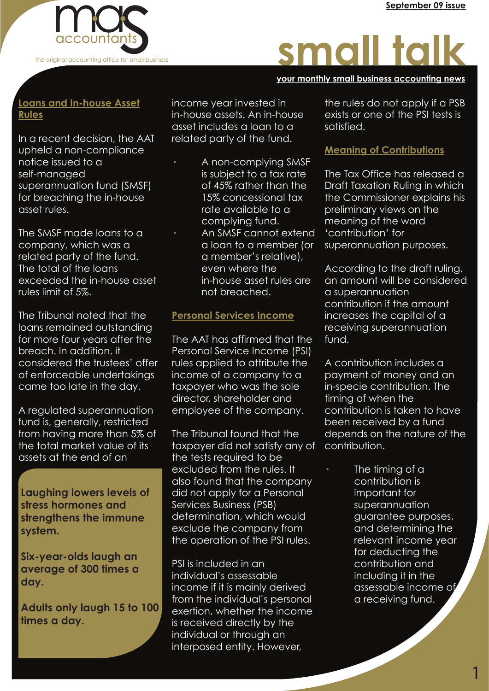

# small talk

#### **your monthly small business accounting news your monthly small business accounting news your monthly small business accounting news**

## **Loans and In-house Asset Rules**

In a recent decision, the AAT upheld a non-compliance notice issued to a self-managed superannuation fund (SMSF) for breaching the in-house asset rules.

The SMSF made loans to a company, which was a related party of the fund. The total of the loans exceeded the in-house asset rules limit of 5%.

The Tribunal noted that the loans remained outstanding for more four years after the breach. In addition, it considered the trustees' offer of enforceable undertakings came too late in the day.

A regulated superannuation fund is, generally, restricted from having more than 5% of the total market value of its assets at the end of an

**Laughing lowers levels of stress hormones and strengthens the immune system.**

**Six-year-olds laugh an average of 300 times a day.**

**Adults only laugh 15 to 100 times a day.** 

income year invested in in-house assets. An in-house asset includes a loan to a related party of the fund.

A non-complying SMSF is subject to a tax rate of 45% rather than the 15% concessional tax rate available to a complying fund. An SMSF cannot extend a loan to a member (or a member's relative), even where the in-house asset rules are not breached.

# **Personal Services Income**

The AAT has affirmed that the Personal Service Income (PSI) rules applied to attribute the income of a company to a taxpayer who was the sole director, shareholder and employee of the company.

The Tribunal found that the taxpayer did not satisfy any of the tests required to be excluded from the rules. It also found that the company did not apply for a Personal Services Business (PSB) determination, which would exclude the company from the operation of the PSI rules.

PSI is included in an individual's assessable income if it is mainly derived from the individual's personal exertion, whether the income is received directly by the individual or through an interposed entity. However,

the rules do not apply if a PSB exists or one of the PSI tests is satisfied.

# **Meaning of Contributions**

The Tax Office has released a Draft Taxation Ruling in which the Commissioner explains his preliminary views on the meaning of the word 'contribution' for superannuation purposes.

According to the draft ruling, an amount will be considered a superannuation contribution if the amount increases the capital of a receiving superannuation fund.

A contribution includes a payment of money and an in-specie contribution. The timing of when the contribution is taken to have been received by a fund depends on the nature of the contribution.

> The timing of a contribution is important for superannuation guarantee purposes, and determining the relevant income year for deducting the contribution and including it in the assessable income of a receiving fund.

> > 1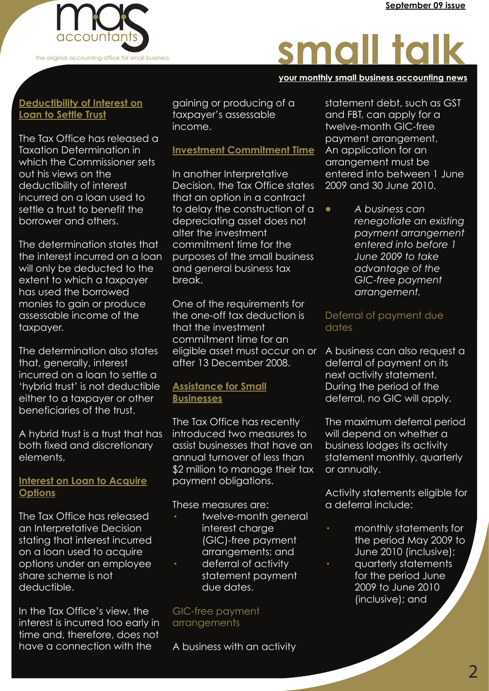

# small talk

#### **your monthly small business accounting news your monthly small business accounting news your monthly small business accounting news**

# **Deductibility of Interest on Loan to Settle Trust**

The Tax Office has released a Taxation Determination in which the Commissioner sets out his views on the deductibility of interest incurred on a loan used to settle a trust to benefit the borrower and others.

The determination states that the interest incurred on a loan will only be deducted to the extent to which a taxpayer has used the borrowed monies to gain or produce assessable income of the taxpayer.

The determination also states that, generally, interest incurred on a loan to settle a 'hybrid trust' is not deductible either to a taxpayer or other beneficiaries of the trust.

A hybrid trust is a trust that has both fixed and discretionary elements.

#### **Interest on Loan to Acquire Options**

The Tax Office has released an Interpretative Decision stating that interest incurred on a loan used to acquire options under an employee share scheme is not deductible.

In the Tax Office's view, the interest is incurred too early in time and, therefore, does not have a connection with the

gaining or producing of a taxpayer's assessable income.

# **Investment Commitment Time**

In another Interpretative Decision, the Tax Office states that an option in a contract to delay the construction of a depreciating asset does not alter the investment commitment time for the purposes of the small business and general business tax break.

One of the requirements for the one-off tax deduction is that the investment commitment time for an eligible asset must occur on or after 13 December 2008.

## **Assistance for Small Businesses**

The Tax Office has recently introduced two measures to assist businesses that have an annual turnover of less than \$2 million to manage their tax payment obligations.

These measures are:

- twelve-month general interest charae (GIC)-free payment arrangements; and
- deferral of activity statement payment due dates.

#### GIC-free payment arrangements

A business with an activity

statement debt, such as GST and FBT, can apply for a twelve-month GIC-free payment arrangement. An application for an arrangement must be entered into between 1 June 2009 and 30 June 2010.

· *A business can renegotiate an existing payment arrangement entered into before 1 June 2009 to take advantage of the GIC-free payment arrangement.*

## Deferral of payment due dates

A business can also request a deferral of payment on its next activity statement. During the period of the deferral, no GIC will apply.

The maximum deferral period will depend on whether a business lodges its activity statement monthly, quarterly or annually.

Activity statements eligible for a deferral include:

· monthly statements for the period May 2009 to June 2010 (inclusive); · quarterly statements for the period June 2009 to June 2010 (inclusive); and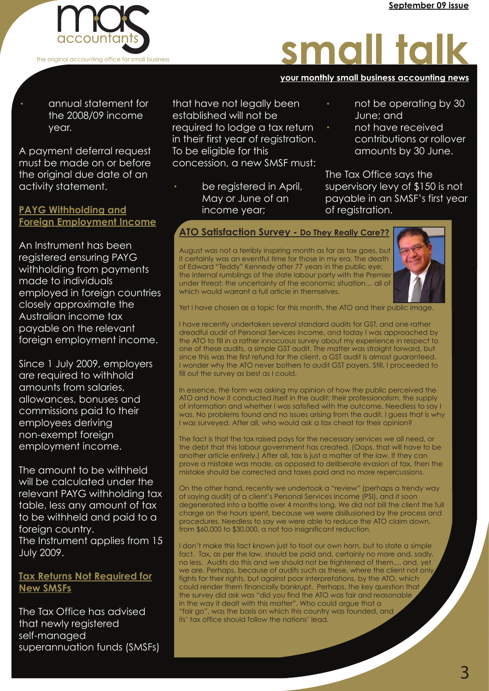

· annual statement for the 2008/09 income year.

A payment deferral request must be made on or before the original due date of an activity statement.

### **PAYG Withholding and Foreign Employment Income**

An Instrument has been registered ensuring PAYG withholding from payments made to individuals employed in foreign countries closely approximate the Australian income tax payable on the relevant foreign employment income.

Since 1 July 2009, employers are required to withhold amounts from salaries, allowances, bonuses and commissions paid to their employees deriving non-exempt foreign employment income.

The amount to be withheld will be calculated under the relevant PAYG withholding tax table, less any amount of tax to be withheld and paid to a foreign country. The Instrument applies from 15 July 2009.

## **Tax Returns Not Required for New SMSFs**

The Tax Office has advised that newly registered self-managed superannuation funds (SMSFs)

that have not legally been established will not be required to lodge a tax return in their first year of registration. To be eligible for this concession, a new SMSF must:

be registered in April, May or June of an income year;

· not be operating by 30 June; and

**your monthly small business accounting news your monthly small business accounting news your monthly small business accounting news**

small talk

· not have received contributions or rollover amounts by 30 June.

The Tax Office says the supervisory levy of \$150 is not payable in an SMSF's first year of registration.

# **ATO Satisfaction Survey - Do They Really Care??**

August was not a terribly inspiring month as far as tax goes, but it certainly was an eventful time for those in my era. The death of Edward "Teddy" Kennedy after 77 years in the public eye; the internal rumblings of the state labour party with the Premier under threat; the uncertainty of the economic situation… all of which would warrant a full article in themselves.



Yet I have chosen as a topic for this month, the ATO and their public image.

I have recently undertaken several standard audits for GST, and one rather dreadful audit of Personal Services Income, and today I was approached by the ATO to fill in a rather innocuous survey about my experience in respect to one of these audits, a simple GST audit. The matter was straight forward, but since this was the first refund for the client, a GST audit is almost guaranteed. I wonder why the ATO never bothers to audit GST payers. Still, I proceeded to fill out the survey as best as I could.

In essence, the form was asking my opinion of how the public perceived the ATO and how it conducted itself in the audit; their professionalism, the supply of information and whether I was satisfied with the outcome. Needless to say I was. No problems found and no issues arising from the audit. I guess that is why I was surveyed. After all, who would ask a tax cheat for their opinion?

The fact is that the tax raised pays for the necessary services we all need, or the debt that this labour government has created. (Oops, that will have to be another article entirely.) After all, tax is just a matter of the law. If they can prove a mistake was made, as opposed to deliberate evasion of tax, then the mistake should be corrected and taxes paid and no more repercussions.

On the other hand, recently we undertook a "review" (perhaps a trendy way of saying audit) of a client's Personal Services Income (PSI), and it soon degenerated into a battle over 4 months long. We did not bill the client the full charge on the hours spent, because we were disillusioned by the process and procedures. Needless to say we were able to reduce the ATO claim down, from \$60,000 to \$30,000, a not too insignificant reduction.

I don't make this fact known just to toot our own horn, but to state a simple fact. Tax, as per the law, should be paid and, certainly no more and, sadly, no less. Audits do this and we should not be frightened of them.... and, yet we are. Perhaps, because of audits such as these, where the client not only fights for their rights, but against poor interpretations, by the ATO, which could render them financially bankrupt. Perhaps, the key question that the survey did ask was "did you find the ATO was fair and reasonable in the way it dealt with this matter". Who could argue that a "fair go", was the basis on which this country was founded, and its' tax office should follow the nations' lead.